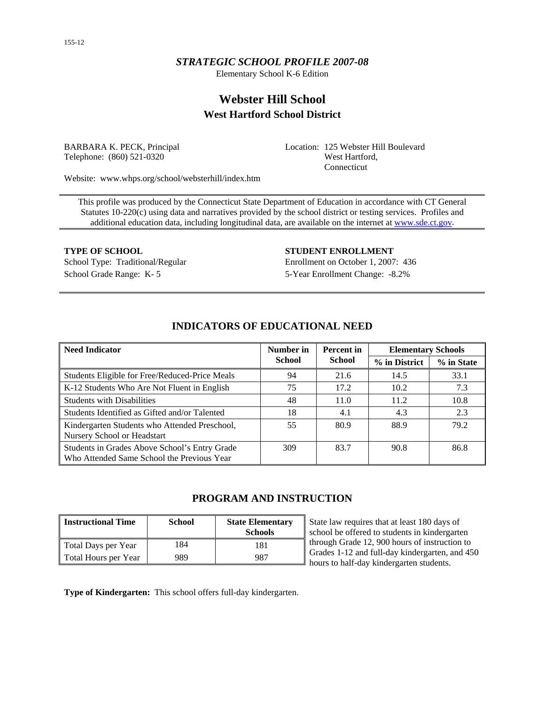## *STRATEGIC SCHOOL PROFILE 2007-08*

Elementary School K-6 Edition

# **Webster Hill School West Hartford School District**

BARBARA K. PECK, Principal Telephone: (860) 521-0320

Location: 125 Webster Hill Boulevard West Hartford, Connecticut

Website: www.whps.org/school/websterhill/index.htm

This profile was produced by the Connecticut State Department of Education in accordance with CT General Statutes 10-220(c) using data and narratives provided by the school district or testing services. Profiles and additional education data, including longitudinal data, are available on the internet at [www.sde.ct.gov.](http://www.sde.ct.gov/)

School Grade Range: K- 5 5-Year Enrollment Change: -8.2%

**TYPE OF SCHOOL STUDENT ENROLLMENT** School Type: Traditional/Regular Enrollment on October 1, 2007: 436

| <b>Need Indicator</b>                                                                       | Number in<br><b>Percent</b> in |               | <b>Elementary Schools</b> |            |  |
|---------------------------------------------------------------------------------------------|--------------------------------|---------------|---------------------------|------------|--|
|                                                                                             | <b>School</b>                  | <b>School</b> | % in District             | % in State |  |
| Students Eligible for Free/Reduced-Price Meals                                              | 94                             | 21.6          | 14.5                      | 33.1       |  |
| K-12 Students Who Are Not Fluent in English                                                 | 75                             | 17.2          | 10.2                      | 7.3        |  |
| <b>Students with Disabilities</b>                                                           | 48                             | 11.0          | 11.2                      | 10.8       |  |
| Students Identified as Gifted and/or Talented                                               | 18                             | 4.1           | 4.3                       | 2.3        |  |
| Kindergarten Students who Attended Preschool,<br>Nursery School or Headstart                | 55                             | 80.9          | 88.9                      | 79.2       |  |
| Students in Grades Above School's Entry Grade<br>Who Attended Same School the Previous Year | 309                            | 83.7          | 90.8                      | 86.8       |  |

## **INDICATORS OF EDUCATIONAL NEED**

## **PROGRAM AND INSTRUCTION**

| <b>Instructional Time</b> | <b>School</b> | <b>State Elementary</b><br><b>Schools</b> |
|---------------------------|---------------|-------------------------------------------|
| Total Days per Year       | 184           | 181                                       |
| Total Hours per Year      | 989           | 987                                       |

State law requires that at least 180 days of school be offered to students in kindergarten through Grade 12, 900 hours of instruction to Grades 1-12 and full-day kindergarten, and 450 hours to half-day kindergarten students.

**Type of Kindergarten:** This school offers full-day kindergarten.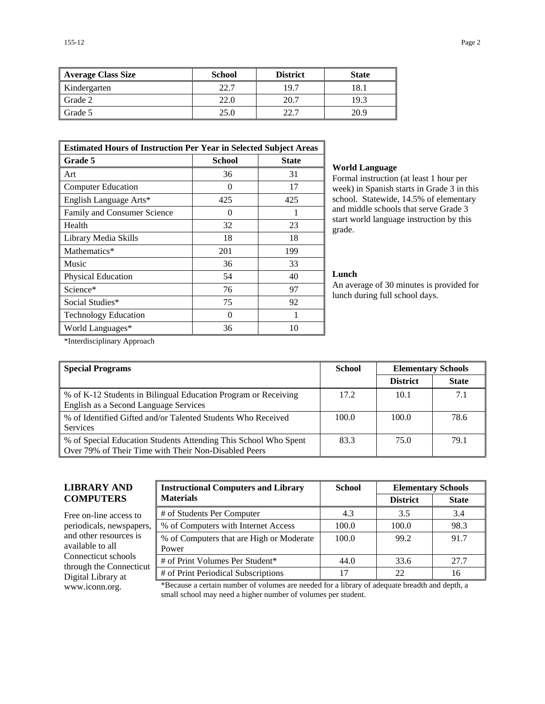| Average Class Size | <b>School</b> | <b>District</b> | <b>State</b> |
|--------------------|---------------|-----------------|--------------|
| Kindergarten       | 22.7          | 19.7            | 18.1         |
| Grade 2            | 22.0          | 20.7            | 19.3         |
| Grade 5            | 25.0          | 22.7            | 20.9         |

| <b>Estimated Hours of Instruction Per Year in Selected Subject Areas</b> |                   |     |  |  |  |  |
|--------------------------------------------------------------------------|-------------------|-----|--|--|--|--|
| Grade 5<br><b>School</b><br><b>State</b>                                 |                   |     |  |  |  |  |
| Art                                                                      | 36                | 31  |  |  |  |  |
| <b>Computer Education</b>                                                | $\mathbf{\Omega}$ | 17  |  |  |  |  |
| English Language Arts*                                                   | 425               | 425 |  |  |  |  |
| Family and Consumer Science                                              | $\theta$          |     |  |  |  |  |
| Health                                                                   | 32                | 23  |  |  |  |  |
| Library Media Skills                                                     | 18                | 18  |  |  |  |  |
| Mathematics*                                                             | 201               | 199 |  |  |  |  |
| Music                                                                    | 36                | 33  |  |  |  |  |
| Physical Education                                                       | 54                | 40  |  |  |  |  |
| Science*                                                                 | 76                | 97  |  |  |  |  |
| Social Studies*                                                          | 75                | 92  |  |  |  |  |
| <b>Technology Education</b>                                              | 0                 |     |  |  |  |  |
| World Languages*                                                         | 36                | 10  |  |  |  |  |

#### **World Language**

Formal instruction (at least 1 hour per week) in Spanish starts in Grade 3 in this school. Statewide, 14.5% of elementary and middle schools that serve Grade 3 start world language instruction by this grade.

#### **Lunch**

An average of 30 minutes is provided for lunch during full school days.

\*Interdisciplinary Approach

| <b>Special Programs</b>                                                                                                 | <b>School</b> | <b>Elementary Schools</b> |              |
|-------------------------------------------------------------------------------------------------------------------------|---------------|---------------------------|--------------|
|                                                                                                                         |               | <b>District</b>           | <b>State</b> |
| % of K-12 Students in Bilingual Education Program or Receiving<br>English as a Second Language Services                 | 17.2          | 10.1                      | 7.1          |
| % of Identified Gifted and/or Talented Students Who Received<br><b>Services</b>                                         | 100.0         | 100.0                     | 78.6         |
| % of Special Education Students Attending This School Who Spent<br>Over 79% of Their Time with Their Non-Disabled Peers | 83.3          | 75.0                      | 79.1         |

## **LIBRARY AND COMPUTERS**

Free on-line access to periodicals, newspapers, and other resources is available to all Connecticut schools through the Connecticut Digital Library at

| <b>Instructional Computers and Library</b>        | <b>School</b> | <b>Elementary Schools</b> |              |  |
|---------------------------------------------------|---------------|---------------------------|--------------|--|
| <b>Materials</b>                                  |               | <b>District</b>           | <b>State</b> |  |
| # of Students Per Computer                        | 4.3           | 3.5                       | 3.4          |  |
| % of Computers with Internet Access               | 100.0         | 100.0                     | 98.3         |  |
| % of Computers that are High or Moderate<br>Power | 100.0         | 99.2                      | 91.7         |  |
| # of Print Volumes Per Student*                   | 44.0          | 33.6                      | 27.7         |  |
| # of Print Periodical Subscriptions               | 17            | 22                        | 16           |  |

www.iconn.org. \*Because a certain number of volumes are needed for a library of adequate breadth and depth, a small school may need a higher number of volumes per student.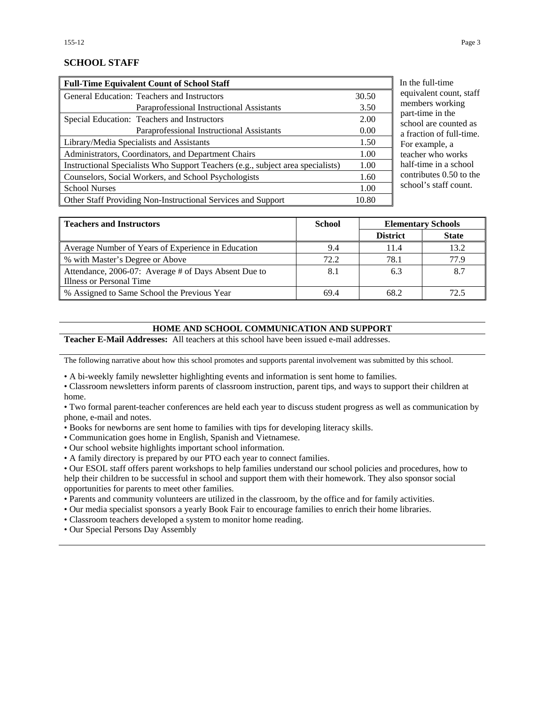## **SCHOOL STAFF**

| <b>Full-Time Equivalent Count of School Staff</b>                               |       |
|---------------------------------------------------------------------------------|-------|
| General Education: Teachers and Instructors                                     | 30.50 |
| Paraprofessional Instructional Assistants                                       | 3.50  |
| Special Education: Teachers and Instructors                                     | 2.00  |
| Paraprofessional Instructional Assistants                                       | 0.00  |
| Library/Media Specialists and Assistants                                        | 1.50  |
| Administrators, Coordinators, and Department Chairs                             | 1.00  |
| Instructional Specialists Who Support Teachers (e.g., subject area specialists) | 1.00  |
| Counselors, Social Workers, and School Psychologists                            | 1.60  |
| <b>School Nurses</b>                                                            | 1.00  |
| Other Staff Providing Non-Instructional Services and Support                    | 10.80 |

he full-time ivalent count, staff mbers working t-time in the ool are counted as action of full-time. example, a cher who works f-time in a school ntributes 0.50 to the ool's staff count.

| <b>Teachers and Instructors</b>                      | <b>School</b> | <b>Elementary Schools</b> |              |
|------------------------------------------------------|---------------|---------------------------|--------------|
|                                                      |               | <b>District</b>           | <b>State</b> |
| Average Number of Years of Experience in Education   | 9.4           | 11.4                      | 13.2         |
| % with Master's Degree or Above                      | 72.2          | 78.1                      | 77.9         |
| Attendance, 2006-07: Average # of Days Absent Due to | 8.1           | 6.3                       | 8.7          |
| Illness or Personal Time                             |               |                           |              |
| % Assigned to Same School the Previous Year          | 69.4          | 68.2                      | 72.5         |

### **HOME AND SCHOOL COMMUNICATION AND SUPPORT**

**Teacher E-Mail Addresses:** All teachers at this school have been issued e-mail addresses.

The following narrative about how this school promotes and supports parental involvement was submitted by this school.

• A bi-weekly family newsletter highlighting events and information is sent home to families.

• Classroom newsletters inform parents of classroom instruction, parent tips, and ways to support their children at home.

• Two formal parent-teacher conferences are held each year to discuss student progress as well as communication by phone, e-mail and notes.

- Books for newborns are sent home to families with tips for developing literacy skills.
- Communication goes home in English, Spanish and Vietnamese.

• Our school website highlights important school information.

• A family directory is prepared by our PTO each year to connect families.

• Our ESOL staff offers parent workshops to help families understand our school policies and procedures, how to help their children to be successful in school and support them with their homework. They also sponsor social opportunities for parents to meet other families.

• Parents and community volunteers are utilized in the classroom, by the office and for family activities.

• Our media specialist sponsors a yearly Book Fair to encourage families to enrich their home libraries.

• Classroom teachers developed a system to monitor home reading.

• Our Special Persons Day Assembly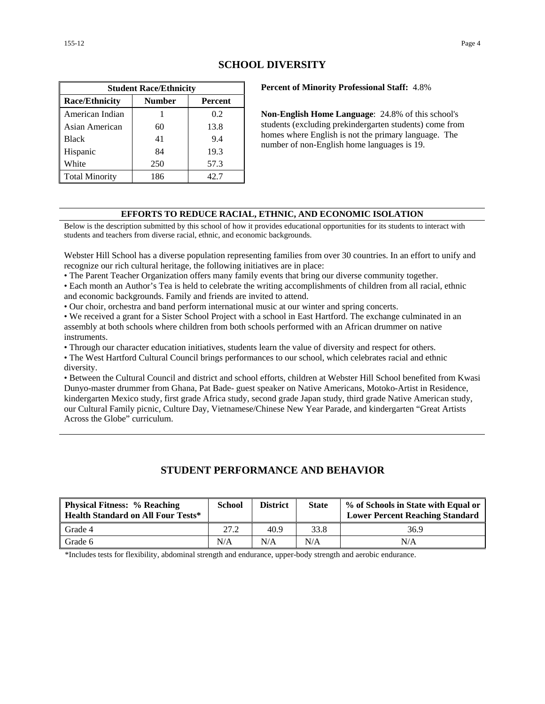| <b>Student Race/Ethnicity</b>              |     |      |  |  |  |  |
|--------------------------------------------|-----|------|--|--|--|--|
| <b>Race/Ethnicity</b><br>Number<br>Percent |     |      |  |  |  |  |
| American Indian                            |     | 0.2  |  |  |  |  |
| Asian American                             | 60  | 13.8 |  |  |  |  |
| <b>Black</b>                               | 41  | 9.4  |  |  |  |  |
| Hispanic                                   | 84  | 19.3 |  |  |  |  |
| White                                      | 250 | 57.3 |  |  |  |  |
| <b>Total Minority</b>                      | 186 | 42.7 |  |  |  |  |

## **SCHOOL DIVERSITY**

**Percent of Minority Professional Staff:** 4.8%

**Non-English Home Language**: 24.8% of this school's students (excluding prekindergarten students) come from homes where English is not the primary language. The number of non-English home languages is 19.

### **EFFORTS TO REDUCE RACIAL, ETHNIC, AND ECONOMIC ISOLATION**

Below is the description submitted by this school of how it provides educational opportunities for its students to interact with students and teachers from diverse racial, ethnic, and economic backgrounds.

Webster Hill School has a diverse population representing families from over 30 countries. In an effort to unify and recognize our rich cultural heritage, the following initiatives are in place:

• The Parent Teacher Organization offers many family events that bring our diverse community together.

• Each month an Author's Tea is held to celebrate the writing accomplishments of children from all racial, ethnic and economic backgrounds. Family and friends are invited to attend.

• Our choir, orchestra and band perform international music at our winter and spring concerts.

• We received a grant for a Sister School Project with a school in East Hartford. The exchange culminated in an assembly at both schools where children from both schools performed with an African drummer on native instruments.

• Through our character education initiatives, students learn the value of diversity and respect for others.

• The West Hartford Cultural Council brings performances to our school, which celebrates racial and ethnic diversity.

• Between the Cultural Council and district and school efforts, children at Webster Hill School benefited from Kwasi Dunyo-master drummer from Ghana, Pat Bade- guest speaker on Native Americans, Motoko-Artist in Residence, kindergarten Mexico study, first grade Africa study, second grade Japan study, third grade Native American study, our Cultural Family picnic, Culture Day, Vietnamese/Chinese New Year Parade, and kindergarten "Great Artists Across the Globe" curriculum.

## **STUDENT PERFORMANCE AND BEHAVIOR**

| <b>Physical Fitness: % Reaching</b><br><b>Health Standard on All Four Tests*</b> | <b>School</b> | <b>District</b> | <b>State</b> | % of Schools in State with Equal or<br><b>Lower Percent Reaching Standard</b> |
|----------------------------------------------------------------------------------|---------------|-----------------|--------------|-------------------------------------------------------------------------------|
| Grade 4                                                                          | 27.2          | 40.9            | 33.8         | 36.9                                                                          |
| Grade 6                                                                          | N/A           | N/A             | N/A          | N/A                                                                           |

\*Includes tests for flexibility, abdominal strength and endurance, upper-body strength and aerobic endurance.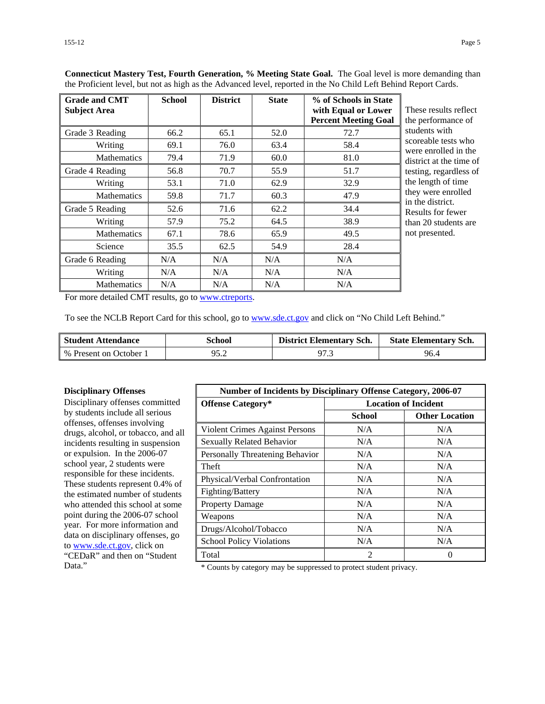| <b>Grade and CMT</b><br><b>Subject Area</b> | <b>School</b> | <b>District</b> | <b>State</b> | % of Schools in State<br>with Equal or Lower<br><b>Percent Meeting Goal</b> | These results reflect<br>the performance of |
|---------------------------------------------|---------------|-----------------|--------------|-----------------------------------------------------------------------------|---------------------------------------------|
| Grade 3 Reading                             | 66.2          | 65.1            | 52.0         | 72.7                                                                        | students with                               |
| Writing                                     | 69.1          | 76.0            | 63.4         | 58.4                                                                        | scoreable tests who<br>were enrolled in the |
| <b>Mathematics</b>                          | 79.4          | 71.9            | 60.0         | 81.0                                                                        | district at the time of                     |
| Grade 4 Reading                             | 56.8          | 70.7            | 55.9         | 51.7                                                                        | testing, regardless of                      |
| Writing                                     | 53.1          | 71.0            | 62.9         | 32.9                                                                        | the length of time                          |
| <b>Mathematics</b>                          | 59.8          | 71.7            | 60.3         | 47.9                                                                        | they were enrolled<br>in the district.      |
| Grade 5 Reading                             | 52.6          | 71.6            | 62.2         | 34.4                                                                        | Results for fewer                           |
| Writing                                     | 57.9          | 75.2            | 64.5         | 38.9                                                                        | than 20 students are                        |
| <b>Mathematics</b>                          | 67.1          | 78.6            | 65.9         | 49.5                                                                        | not presented.                              |
| Science                                     | 35.5          | 62.5            | 54.9         | 28.4                                                                        |                                             |
| Grade 6 Reading                             | N/A           | N/A             | N/A          | N/A                                                                         |                                             |
| Writing                                     | N/A           | N/A             | N/A          | N/A                                                                         |                                             |
| <b>Mathematics</b>                          | N/A           | N/A             | N/A          | N/A                                                                         |                                             |

**Connecticut Mastery Test, Fourth Generation, % Meeting State Goal.** The Goal level is more demanding than the Proficient level, but not as high as the Advanced level, reported in the No Child Left Behind Report Cards.

For more detailed CMT results, go to [www.ctreports.](http://www.ctreports/)

To see the NCLB Report Card for this school, go to [www.sde.ct.gov](http://www.sde.ct.gov/) and click on "No Child Left Behind."

| <b>Student Attendance</b> | School | <b>District Elementary Sch.</b> | <b>State Elementary Sch.</b> |
|---------------------------|--------|---------------------------------|------------------------------|
| % Present on October 1    | 95.2   | 97.3                            | 96.4                         |

#### **Disciplinary Offenses**

Disciplinary offenses committed by students include all serious offenses, offenses involving drugs, alcohol, or tobacco, and all incidents resulting in suspension or expulsion. In the 2006-07 school year, 2 students were responsible for these incidents. These students represent 0.4% of the estimated number of students who attended this school at some point during the 2006-07 school year. For more information and data on disciplinary offenses, go to [www.sde.ct.gov](http://www.sde.ct.gov/), click on "CEDaR" and then on "Student

| <b>Number of Incidents by Disciplinary Offense Category, 2006-07</b> |                             |                       |
|----------------------------------------------------------------------|-----------------------------|-----------------------|
| <b>Offense Category*</b>                                             | <b>Location of Incident</b> |                       |
|                                                                      | <b>School</b>               | <b>Other Location</b> |
| <b>Violent Crimes Against Persons</b>                                | N/A                         | N/A                   |
| <b>Sexually Related Behavior</b>                                     | N/A                         | N/A                   |
| Personally Threatening Behavior                                      | N/A                         | N/A                   |
| Theft                                                                | N/A                         | N/A                   |
| Physical/Verbal Confrontation                                        | N/A                         | N/A                   |
| Fighting/Battery                                                     | N/A                         | N/A                   |
| <b>Property Damage</b>                                               | N/A                         | N/A                   |
| Weapons                                                              | N/A                         | N/A                   |
| Drugs/Alcohol/Tobacco                                                | N/A                         | N/A                   |
| <b>School Policy Violations</b>                                      | N/A                         | N/A                   |
| Total                                                                | $\mathfrak{D}$              | $\theta$              |

Data." \* Counts by category may be suppressed to protect student privacy.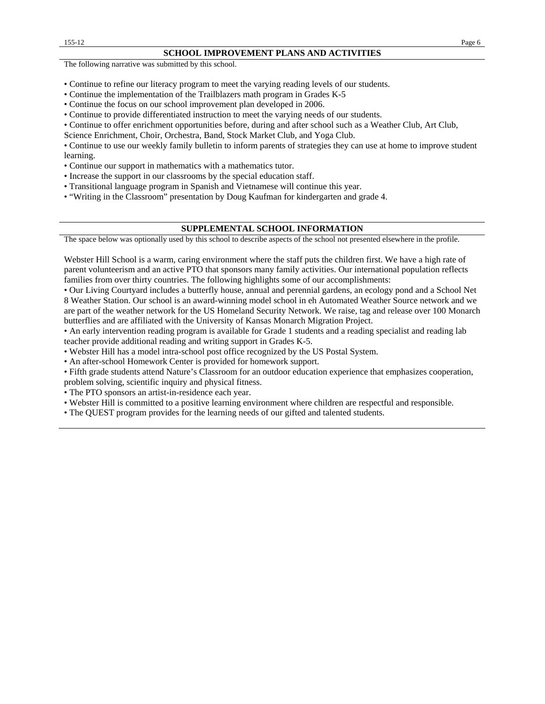#### **SCHOOL IMPROVEMENT PLANS AND ACTIVITIES**

The following narrative was submitted by this school.

- Continue to refine our literacy program to meet the varying reading levels of our students.
- Continue the implementation of the Trailblazers math program in Grades K-5
- Continue the focus on our school improvement plan developed in 2006.
- Continue to provide differentiated instruction to meet the varying needs of our students.
- Continue to offer enrichment opportunities before, during and after school such as a Weather Club, Art Club,

Science Enrichment, Choir, Orchestra, Band, Stock Market Club, and Yoga Club.

• Continue to use our weekly family bulletin to inform parents of strategies they can use at home to improve student learning.

- Continue our support in mathematics with a mathematics tutor.
- Increase the support in our classrooms by the special education staff.

• Transitional language program in Spanish and Vietnamese will continue this year.

• "Writing in the Classroom" presentation by Doug Kaufman for kindergarten and grade 4.

#### **SUPPLEMENTAL SCHOOL INFORMATION**

The space below was optionally used by this school to describe aspects of the school not presented elsewhere in the profile.

Webster Hill School is a warm, caring environment where the staff puts the children first. We have a high rate of parent volunteerism and an active PTO that sponsors many family activities. Our international population reflects families from over thirty countries. The following highlights some of our accomplishments:

• Our Living Courtyard includes a butterfly house, annual and perennial gardens, an ecology pond and a School Net 8 Weather Station. Our school is an award-winning model school in eh Automated Weather Source network and we are part of the weather network for the US Homeland Security Network. We raise, tag and release over 100 Monarch butterflies and are affiliated with the University of Kansas Monarch Migration Project.

• An early intervention reading program is available for Grade 1 students and a reading specialist and reading lab teacher provide additional reading and writing support in Grades K-5.

• Webster Hill has a model intra-school post office recognized by the US Postal System.

• An after-school Homework Center is provided for homework support.

• Fifth grade students attend Nature's Classroom for an outdoor education experience that emphasizes cooperation, problem solving, scientific inquiry and physical fitness.

• The PTO sponsors an artist-in-residence each year.

• Webster Hill is committed to a positive learning environment where children are respectful and responsible.

• The QUEST program provides for the learning needs of our gifted and talented students.